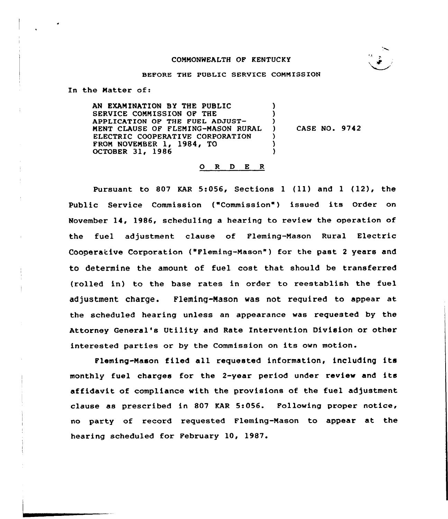# COMMONWEALTH OF KENTUCKY



#### BEFORE THE PUBLIC SERVICE COMMISSION

In the Natter of:

AN EXAM INATION BY THE PUBLIC SERVICE CONNISSION OF THE APPLICATION OF THE FUEL ADZUST-NENT CLAUSE OF FLEMING-NASON RURAL ELECTRIC COOPERATIVE CORPORATION FROM NOVEMBER 1, 1984, TO OCTOBER 31, 1986 ) )  $\left\{ \right\}$ ) ) )

) CASE NO. 9742

#### 0 <sup>R</sup> <sup>D</sup> E <sup>R</sup>

Pursuant to <sup>807</sup> KAR 5:056, Sections <sup>1</sup> (ll) and <sup>1</sup> (12), the Public Service Commission ("Commission") issued its Order on November 14, 1986, scheduling a hearing to review the operation of the fuel adjustment clause of Fleming-Mason Rural Electric Cooperative Corporation ("Fleming-Nason") for the past <sup>2</sup> years and to determine the amount of fuel cost that should be transferred (rolled in) to the base rates in order to reestablish the fuel adjustment charge. Fleming-Mason was not required to appear at the scheduled hearing unless an appearance was requested by the Attorney General's Utility and Rate Intervention Division or other interested parties or by the Commission on its own motion.

Fleming-Nason filed all requested information, including its monthly fuel charges for the 2-year period under review and its affidavit of compliance with the provisions of the fuel adjustment clause as prescribed in 807 KAR 5:056. Following proper notice, no party of record requested Fleming-Nason to appear at the hearing scheduled for February 10, 1987.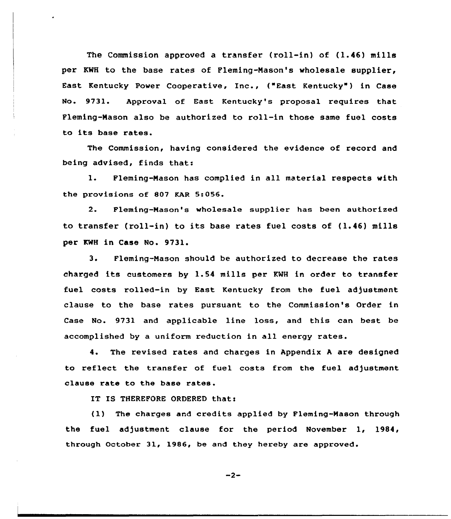The Commission approved a transfer (roll-in) of  $(1.46)$  mills per KWH to the base rates of Fleming-Mason's wholesale supplier, East Kentucky Power Cooperative, Inc., ("East Kentucky" ) in Case No. 9731. Approval of East Kentucky's proposal requires that Fleming-Mason also be authorized to roll-in those same fuel costs to its base rates.

The Commission, having considered the evidence of record and being advised, finds that:

1. Fleming-Mason has complied in all material respects with the provisions of 807 KAR 5:056.

2. Fleming-Mason's wholesale supplier has been authorized to transfer (roll-in) to its base rates fuel costs of (1.46) mills per KWH in Case No. 9731.

3. Fleming-Mason should be authorized to decrease the rates charged its customers by 1.54 mills per KWH in order to transfer fuel costs rolled-in by East Kentucky from the fuel adjustment clause to the base rates pursuant to the Commission's Order in Case No. 9731 and applicable line loss, and this can best be accomplished by a uniform reduction in all energy rates.

4. The revised rates and charges in Appendix <sup>A</sup> are designed to reflect the transfer of fuel costs from the fuel adjustment clause rate to the base rates.

IT IS THEREFORE ORDERED that:

(1) The charges and credits applied by Fleming-Mason through the fuel adjustment clause for the period November 1, 1984, through October 31, 1986, be and they hereby are approved.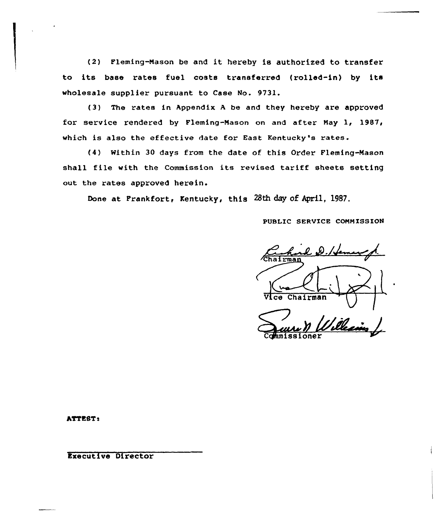(2) Fleming-Mason be and it hereby is authorized to transfer to its base rates fuel costs transferred (rolled-in) by its wholesale supplier pursuant to Case No. 9731.

(3) The rates in Appendix <sup>A</sup> be and they hereby are approved for service rendered by Fleming-Mason on and after Nay 1, 1987, which is also the effective date for East Kentucky's rates.

(4) Within 30 days from the date of this Order Fleming-Mason shall file with the Commission its revised tariff sheets setting out the rates approved herein.

Done at Frankfort, Kentucky, this 28th day of April, 1987.

PUBLIC SERVICE COMMISSION

 $\boldsymbol{\ell}$  . is . if the  $i$ Chairman

Juin Williams oner

hTTESTa

Executive Director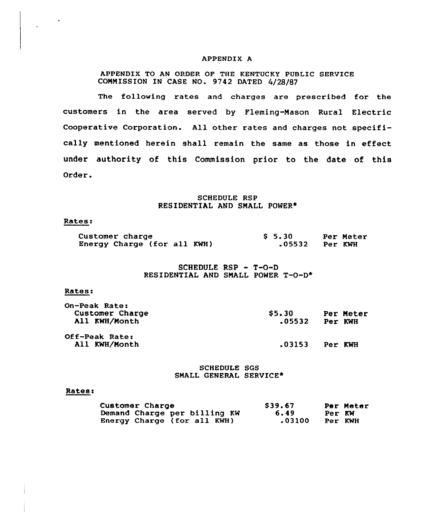### APPENDIX A

# APPENDIX TO AN ORDER QF THE KENTUCKY PUBLIC SERVICE COMMISSION IN CASE NO. 9742 DATED 4/28/87

The following rates and charges are prescribed for the customers in the area served by Fleming-Mason Rural Electric Cooperative Corporation. All other rates and charges not specifically mentioned herein shall remain the same as those in effect under authority of this Commission prior to the date of this Order.

# SCHEDULE RSP RESIDENTIAL AND SMALL POWER+

# Rates:

| <b>Customer charge</b>      | S 5.30 |                | Per Meter |
|-----------------------------|--------|----------------|-----------|
| Energy Charge (for all KWH) |        | .05532 Per KWH |           |

# SCHEDULE RSP - T-0-D RESIDENTIAL AND SMALL POWER T-O-D\*

#### Rates:

| On-Peak Rate:<br>Customer Charge<br>All KWH/Month | <b>S5.30</b><br>.05532 | Per KWH | Per Meter |
|---------------------------------------------------|------------------------|---------|-----------|
| Off-Peak Rate:<br>All KWH/Month                   | .03153                 | Per KWH |           |

# SCHEDULE SGS SMALL GENERAL SERVICE\*

#### Rates:

| Customer Charge              | \$39.67 | Per Meter |
|------------------------------|---------|-----------|
| Demand Charge per billing KW | 6.49    | Per KW    |
| Energy Charge (for all KWH)  | .03100  | Per KWH   |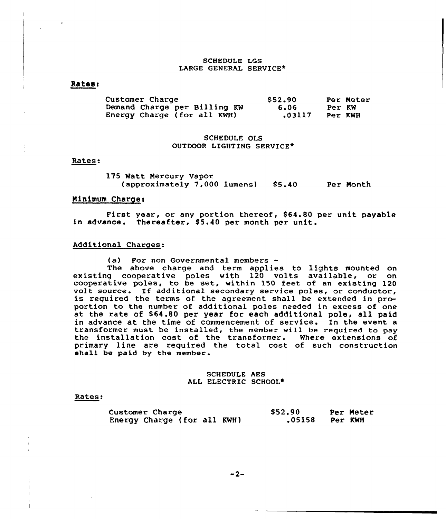## SCHEDULE LGS LARGE GENERAL SERVICE\*

# Rates <sup>~</sup>

| Customer Charge              | \$52.90 | Per Meter |
|------------------------------|---------|-----------|
| Demand Charge per Billing KW | 6.06    | Per KW    |
| Energy Charge (for all KWH)  | .03117  | Per KWH   |

# SCHEDULE OLS OUTDOOR LIGHTING SERVICE+

### Rates:

175 Watt Mercury Vapor (approximately 7,000 lumens) \$5.40 \$5.40 Per Month

## Minimum Charge:

First year, or any portion thereof, \$64.80 per unit payabl in advance. Thereafter, \$5.40 per month per unit

### Additional Charges:

(a) For non Governmental members

The above charge and term applies to lights mounted on existing cooperative poles with 120 volts available, or on cooperative poles, to be set, within 150 feet of an existing 120 volt source. If additional secondary service poles, or conductor,<br>is required the terms of the agreement shall be extended in proportion to the number of additional poles needed in excess of one at the rate of \$64.80 per year for each additional pole, all paid in advance at the time of commencement of service. In the event a transformer must be installed, the member will be required to pay the installation cost of the transformer. Where extensions of primary line are required the total cost of such construction shall be paid by the member.

# SCHEDULE AES ALL ELECTRIC SCHOOL+

### Rates:

| Customer Charge             | \$52.90 |         | Per Meter |
|-----------------------------|---------|---------|-----------|
| Energy Charge (for all KWH) | .05158  | Per KWH |           |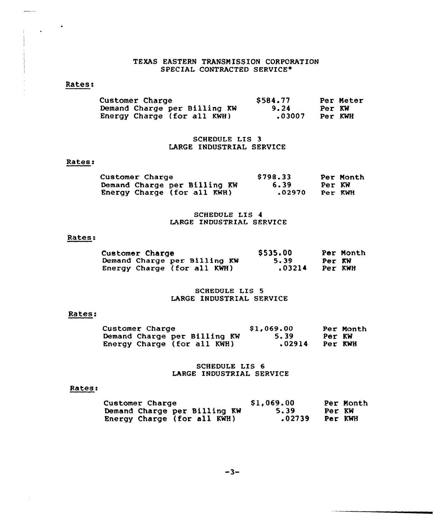# TEXAS EASTERN TRANSMISSION CORPORATION SPECIAL CONTRACTED SERVICE\*

# Rates:

 $\frac{1}{2}$  ,  $\frac{1}{2}$  ,  $\frac{1}{2}$ 

| <b>Customer Charge</b>       | \$584.77 | Per Meter |
|------------------------------|----------|-----------|
| Demand Charge per Billing KW | 9.24     | Per KW    |
| Energy Charge (for all KWH)  | .03007   | Per KWH   |

# SCHEDULE LIS 3 LARGE INDUSTRIAL SERVICE

# Rates:

| Customer Charge              | \$798.33 |         | Per Month |
|------------------------------|----------|---------|-----------|
| Demand Charge per Billing KW | 6.39     | Per KW  |           |
| Energy Charge (for all KWH)  | .02970   | Per KWH |           |

# SCHEDULE LIS 4 LARGE INDUSTRIAL SERVICE

# Rates:

| <b>Customer Charge</b> |                              | \$535.00 |         | Per Month |
|------------------------|------------------------------|----------|---------|-----------|
|                        | Demand Charge per Billing KW | 5.39     | Per KW  |           |
|                        | Energy Charge (for all KWH)  | .03214   | Per KWH |           |

# SCHEDULE LIS 5 LARGE INDUSTRIAL SERVICE

# Rates:

| Customer Charge              | \$1,069.00 | Per Month |
|------------------------------|------------|-----------|
| Demand Charge per Billing KW | 5.39       | Per KW    |
| Energy Charge (for all KWH)  | .02914     | Per KWH   |

SCHEDULE LIS 6 LARGE INDUSTRIAL SERVICE

# Rates:

 $\frac{1}{4}$ 

| <b>Customer Charge</b>       | \$1,069.00 |        | Per Month |
|------------------------------|------------|--------|-----------|
| Demand Charge per Billing KW | 5.39       | Per KW |           |
| Energy Charge (for all KWH)  | .02739     |        | Per KWH   |